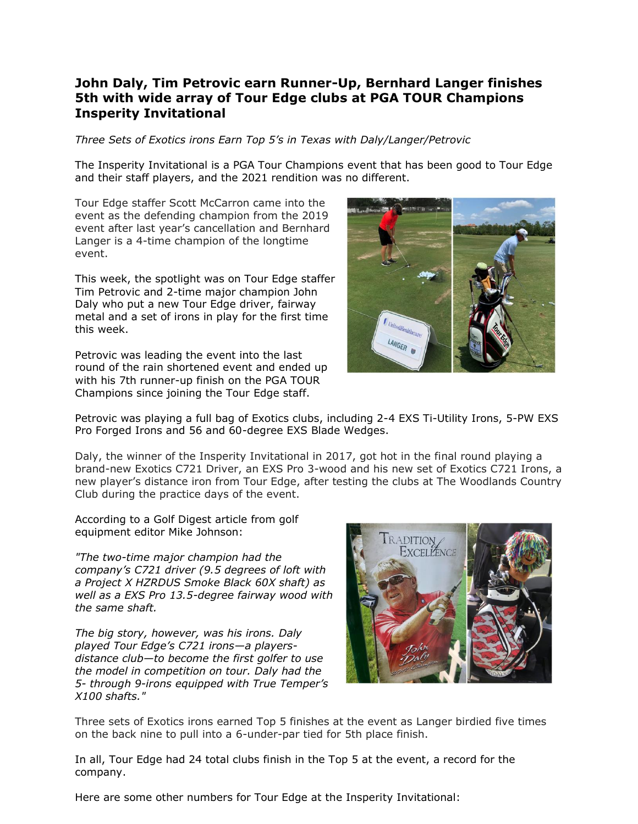## **John Daly, Tim Petrovic earn Runner-Up, Bernhard Langer finishes 5th with wide array of Tour Edge clubs at PGA TOUR Champions Insperity Invitational**

*Three Sets of Exotics irons Earn Top 5's in Texas with Daly/Langer/Petrovic*

The Insperity Invitational is a PGA Tour Champions event that has been good to Tour Edge and their staff players, and the 2021 rendition was no different.

Tour Edge staffer Scott McCarron came into the event as the defending champion from the 2019 event after last year's cancellation and Bernhard Langer is a 4-time champion of the longtime event.

This week, the spotlight was on Tour Edge staffer Tim Petrovic and 2-time major champion John Daly who put a new Tour Edge driver, fairway metal and a set of irons in play for the first time this week.

Petrovic was leading the event into the last round of the rain shortened event and ended up with his 7th runner-up finish on the PGA TOUR Champions since joining the Tour Edge staff.



Petrovic was playing a full bag of Exotics clubs, including 2-4 EXS Ti-Utility Irons, 5-PW EXS Pro Forged Irons and 56 and 60-degree EXS Blade Wedges.

Daly, the winner of the Insperity Invitational in 2017, got hot in the final round playing a brand-new Exotics C721 Driver, an EXS Pro 3-wood and his new set of Exotics C721 Irons, a new player's distance iron from Tour Edge, after testing the clubs at The Woodlands Country Club during the practice days of the event.

According to a Golf Digest article from golf equipment editor Mike Johnson:

*"The two-time major champion had the company's C721 driver (9.5 degrees of loft with a Project X HZRDUS Smoke Black 60X shaft) as well as a EXS Pro 13.5-degree fairway wood with the same shaft.*

*The big story, however, was his irons. Daly played Tour Edge's C721 irons—a playersdistance club—to become the first golfer to use the model in competition on tour. Daly had the 5- through 9-irons equipped with True Temper's X100 shafts."*



Three sets of Exotics irons earned Top 5 finishes at the event as Langer birdied five times on the back nine to pull into a 6-under-par tied for 5th place finish.

In all, Tour Edge had 24 total clubs finish in the Top 5 at the event, a record for the company.

Here are some other numbers for Tour Edge at the Insperity Invitational: